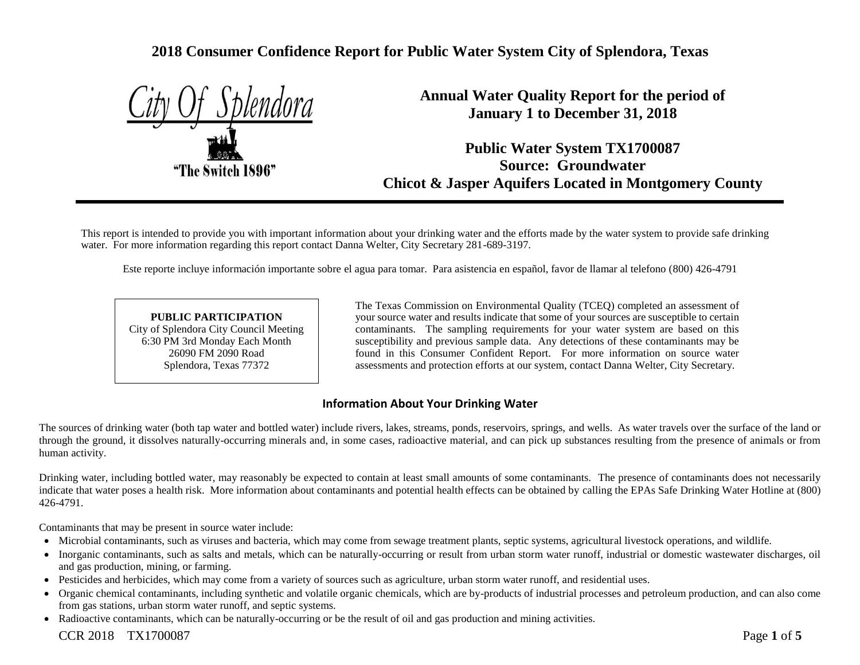# **2018 Consumer Confidence Report for Public Water System City of Splendora, Texas**

"The Switch 1896"

**Annual Water Quality Report for the period of January 1 to December 31, 2018**

**Public Water System TX1700087 Source: Groundwater Chicot & Jasper Aquifers Located in Montgomery County**

This report is intended to provide you with important information about your drinking water and the efforts made by the water system to provide safe drinking water. For more information regarding this report contact Danna Welter, City Secretary 281-689-3197.

Este reporte incluye información importante sobre el agua para tomar. Para asistencia en español, favor de llamar al telefono (800) 426-4791

#### **PUBLIC PARTICIPATION** City of Splendora City Council Meeting 6:30 PM 3rd Monday Each Month 26090 FM 2090 Road Splendora, Texas 77372

The Texas Commission on Environmental Quality (TCEQ) completed an assessment of your source water and results indicate that some of your sources are susceptible to certain contaminants. The sampling requirements for your water system are based on this susceptibility and previous sample data. Any detections of these contaminants may be found in this Consumer Confident Report. For more information on source water assessments and protection efforts at our system, contact Danna Welter, City Secretary.

## **Information About Your Drinking Water**

The sources of drinking water (both tap water and bottled water) include rivers, lakes, streams, ponds, reservoirs, springs, and wells. As water travels over the surface of the land or through the ground, it dissolves naturally-occurring minerals and, in some cases, radioactive material, and can pick up substances resulting from the presence of animals or from human activity.

Drinking water, including bottled water, may reasonably be expected to contain at least small amounts of some contaminants. The presence of contaminants does not necessarily indicate that water poses a health risk. More information about contaminants and potential health effects can be obtained by calling the EPAs Safe Drinking Water Hotline at (800) 426-4791.

Contaminants that may be present in source water include:

- Microbial contaminants, such as viruses and bacteria, which may come from sewage treatment plants, septic systems, agricultural livestock operations, and wildlife.
- Inorganic contaminants, such as salts and metals, which can be naturally-occurring or result from urban storm water runoff, industrial or domestic wastewater discharges, oil and gas production, mining, or farming.
- Pesticides and herbicides, which may come from a variety of sources such as agriculture, urban storm water runoff, and residential uses.
- Organic chemical contaminants, including synthetic and volatile organic chemicals, which are by-products of industrial processes and petroleum production, and can also come from gas stations, urban storm water runoff, and septic systems.
- Radioactive contaminants, which can be naturally-occurring or be the result of oil and gas production and mining activities.

## CCR 2018 TX1700087 Page **1** of **5**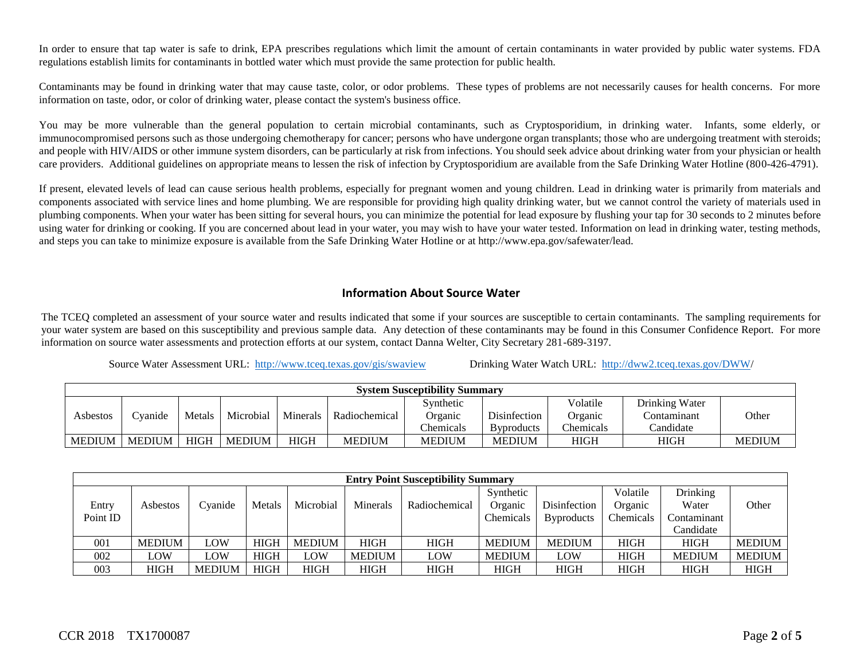In order to ensure that tap water is safe to drink, EPA prescribes regulations which limit the amount of certain contaminants in water provided by public water systems. FDA regulations establish limits for contaminants in bottled water which must provide the same protection for public health.

Contaminants may be found in drinking water that may cause taste, color, or odor problems. These types of problems are not necessarily causes for health concerns. For more information on taste, odor, or color of drinking water, please contact the system's business office.

You may be more vulnerable than the general population to certain microbial contaminants, such as Cryptosporidium, in drinking water. Infants, some elderly, or immunocompromised persons such as those undergoing chemotherapy for cancer; persons who have undergone organ transplants; those who are undergoing treatment with steroids; and people with HIV/AIDS or other immune system disorders, can be particularly at risk from infections. You should seek advice about drinking water from your physician or health care providers. Additional guidelines on appropriate means to lessen the risk of infection by Cryptosporidium are available from the Safe Drinking Water Hotline (800-426-4791).

If present, elevated levels of lead can cause serious health problems, especially for pregnant women and young children. Lead in drinking water is primarily from materials and components associated with service lines and home plumbing. We are responsible for providing high quality drinking water, but we cannot control the variety of materials used in plumbing components. When your water has been sitting for several hours, you can minimize the potential for lead exposure by flushing your tap for 30 seconds to 2 minutes before using water for drinking or cooking. If you are concerned about lead in your water, you may wish to have your water tested. Information on lead in drinking water, testing methods, and steps you can take to minimize exposure is available from the Safe Drinking Water Hotline or at http://www.epa.gov/safewater/lead.

#### **Information About Source Water**

The TCEQ completed an assessment of your source water and results indicated that some if your sources are susceptible to certain contaminants. The sampling requirements for your water system are based on this susceptibility and previous sample data. Any detection of these contaminants may be found in this Consumer Confidence Report. For more information on source water assessments and protection efforts at our system, contact Danna Welter, City Secretary 281-689-3197.

Source Water Assessment URL: <http://www.tceq.texas.gov/gis/swaview>Drinking Water Watch URL: [http://dww2.tceq.texas.gov/DWW/](http://dww2.tceq.texas.gov/DWW)

|               | <b>System Susceptibility Summary</b> |             |               |             |               |               |                   |                  |                |               |
|---------------|--------------------------------------|-------------|---------------|-------------|---------------|---------------|-------------------|------------------|----------------|---------------|
|               |                                      |             |               |             |               | Synthetic     |                   | Volatile         | Drinking Water |               |
| Asbestos      | `vanide                              | Metals      | Microbial     | Minerals    | Radiochemical | Organic       | Disinfection      | Organic          | Contaminant    | Other         |
|               |                                      |             |               |             |               | Chemicals     | <b>Byproducts</b> | <b>Chemicals</b> | Candidate      |               |
| <b>MEDIUM</b> | <b>MEDIUM</b>                        | <b>HIGH</b> | <b>MEDIUM</b> | <b>HIGH</b> | <b>MEDIUM</b> | <b>MEDIUM</b> | <b>MEDIUM</b>     | <b>HIGH</b>      | <b>HIGH</b>    | <b>MEDIUM</b> |

|          | <b>Entry Point Susceptibility Summary</b> |               |             |               |               |               |               |                   |             |               |               |
|----------|-------------------------------------------|---------------|-------------|---------------|---------------|---------------|---------------|-------------------|-------------|---------------|---------------|
|          |                                           |               |             |               |               |               | Synthetic     |                   | Volatile    | Drinking      |               |
| Entry    | Asbestos                                  | Cyanide       | Metals      | Microbial     | Minerals      | Radiochemical | Organic       | Disinfection      | Organic     | Water         | Other         |
| Point ID |                                           |               |             |               |               |               | Chemicals     | <b>Byproducts</b> | Chemicals   | Contaminant   |               |
|          |                                           |               |             |               |               |               |               |                   |             | Candidate     |               |
| 001      | <b>MEDIUM</b>                             | LOW           | <b>HIGH</b> | <b>MEDIUM</b> | <b>HIGH</b>   | <b>HIGH</b>   | <b>MEDIUM</b> | <b>MEDIUM</b>     | <b>HIGH</b> | <b>HIGH</b>   | <b>MEDIUM</b> |
| 002      | LOW                                       | LOW           | <b>HIGH</b> | LOW           | <b>MEDIUM</b> | LOW           | <b>MEDIUM</b> | LOW               | <b>HIGH</b> | <b>MEDIUM</b> | <b>MEDIUM</b> |
| 003      | <b>HIGH</b>                               | <b>MEDIUM</b> | <b>HIGH</b> | HIGH          | <b>HIGH</b>   | <b>HIGH</b>   | HIGH          | <b>HIGH</b>       | <b>HIGH</b> | <b>HIGH</b>   | <b>HIGH</b>   |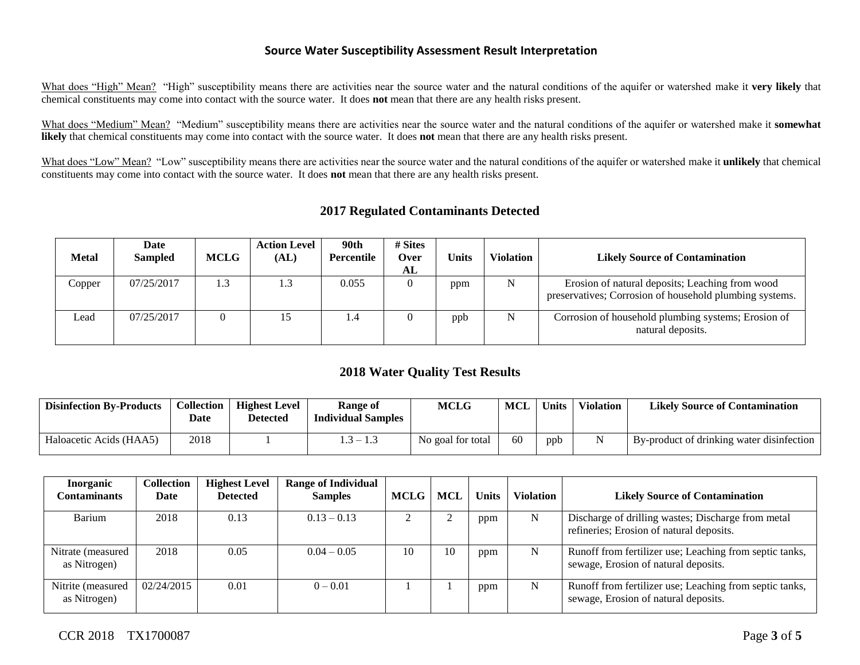#### **Source Water Susceptibility Assessment Result Interpretation**

What does "High" Mean? "High" susceptibility means there are activities near the source water and the natural conditions of the aquifer or watershed make it **very likely** that chemical constituents may come into contact with the source water. It does **not** mean that there are any health risks present.

What does "Medium" Mean? "Medium" susceptibility means there are activities near the source water and the natural conditions of the aquifer or watershed make it **somewhat likely** that chemical constituents may come into contact with the source water. It does **not** mean that there are any health risks present.

What does "Low" Mean? "Low" susceptibility means there are activities near the source water and the natural conditions of the aquifer or watershed make it **unlikely** that chemical constituents may come into contact with the source water. It does **not** mean that there are any health risks present.

#### **2017 Regulated Contaminants Detected**

| <b>Metal</b> | Date<br><b>Sampled</b> | <b>MCLG</b> | <b>Action Level</b><br>(AL) | 90th<br>Percentile | # Sites<br>Over<br>AL | Units | <b>Violation</b> | <b>Likely Source of Contamination</b>                                                                      |
|--------------|------------------------|-------------|-----------------------------|--------------------|-----------------------|-------|------------------|------------------------------------------------------------------------------------------------------------|
| Copper       | 07/25/2017             | 1.3         |                             | 0.055              |                       | ppm   | N                | Erosion of natural deposits; Leaching from wood<br>preservatives; Corrosion of household plumbing systems. |
| Lead         | 07/25/2017             |             | 15                          | l.4                |                       | ppb   | N                | Corrosion of household plumbing systems; Erosion of<br>natural deposits.                                   |

## **2018 Water Quality Test Results**

| <b>Disinfection By-Products</b> | Collection<br><b>Date</b> | <b>Highest Level</b><br><b>Detected</b> | Range of<br><b>Individual Samples</b> | MCLG              | <b>MCL</b> | <b>Inits</b> | <b>Violation</b> | <b>Likely Source of Contamination</b>     |
|---------------------------------|---------------------------|-----------------------------------------|---------------------------------------|-------------------|------------|--------------|------------------|-------------------------------------------|
| Haloacetic Acids (HAA5)         | 2018                      |                                         | 1.3<br>$-1.3$                         | No goal for total | 60         | ppb          |                  | By-product of drinking water disinfection |

| <b>Inorganic</b><br>C <b>ontaminants</b> | <b>Collection</b><br>Date | <b>Highest Level</b><br><b>Detected</b> | <b>Range of Individual</b><br><b>Samples</b> | MCLG | <b>MCL</b> | <b>Units</b> | <b>Violation</b> | <b>Likely Source of Contamination</b>                                                           |
|------------------------------------------|---------------------------|-----------------------------------------|----------------------------------------------|------|------------|--------------|------------------|-------------------------------------------------------------------------------------------------|
| Barium                                   | 2018                      | 0.13                                    | $0.13 - 0.13$                                |      |            | ppm          | N                | Discharge of drilling wastes; Discharge from metal<br>refineries; Erosion of natural deposits.  |
| Nitrate (measured)<br>as Nitrogen)       | 2018                      | 0.05                                    | $0.04 - 0.05$                                | 10   | 10         | ppm          | N                | Runoff from fertilizer use; Leaching from septic tanks,<br>sewage, Erosion of natural deposits. |
| Nitrite (measured<br>as Nitrogen)        | 02/24/2015                | 0.01                                    | $0 - 0.01$                                   |      |            | ppm          | N                | Runoff from fertilizer use; Leaching from septic tanks,<br>sewage, Erosion of natural deposits. |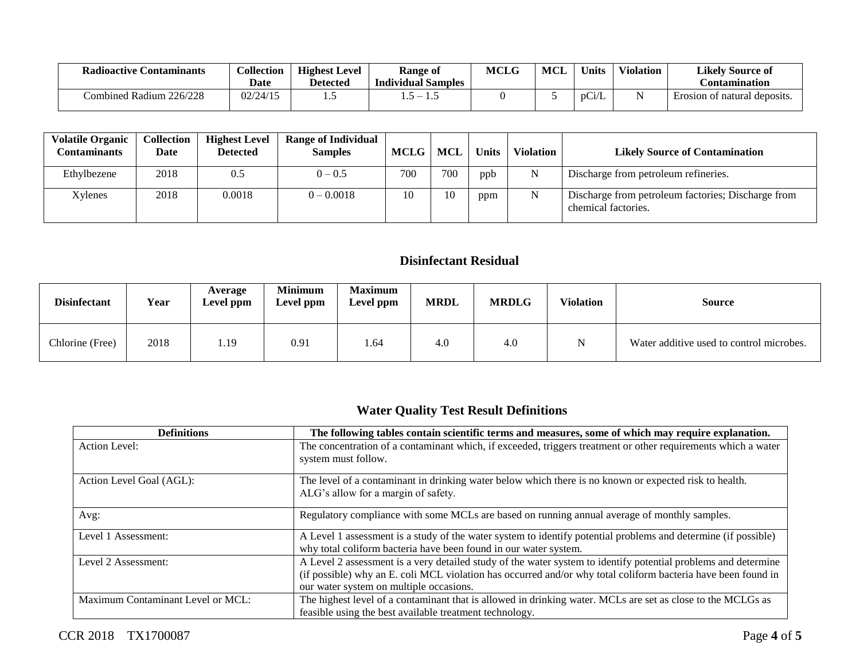| Radioactive<br><b>Contaminants</b> | <b>Collection</b> | <b>Highest Level</b> | Range of                  |  | MCL | <b>Units</b> | <b>Violation</b> | <b>Likely Source of</b>      |
|------------------------------------|-------------------|----------------------|---------------------------|--|-----|--------------|------------------|------------------------------|
|                                    | Date              | <b>Detected</b>      | <b>Individual Samples</b> |  |     |              |                  | C <b>ontamination</b>        |
| Combined Radium 226/228            | 02/24/15          | ن .                  | .                         |  |     | pCi/L        |                  | Erosion of natural deposits. |

| <b>Volatile Organic</b><br>Contaminants | <b>Collection</b><br>Date | <b>Highest Level</b><br><b>Detected</b> | <b>Range of Individual</b><br><b>Samples</b> | <b>MCLG</b> | MCL | <b>Units</b> | <b>Violation</b> | <b>Likely Source of Contamination</b>                                     |
|-----------------------------------------|---------------------------|-----------------------------------------|----------------------------------------------|-------------|-----|--------------|------------------|---------------------------------------------------------------------------|
| Ethylbezene                             | 2018                      | 0.5                                     | $0 - 0.5$                                    | 700         | 700 | ppb          | N                | Discharge from petroleum refineries.                                      |
| Xylenes                                 | 2018                      | 0.0018                                  | $0 - 0.0018$                                 | 10          | 10  | ppm          | N                | Discharge from petroleum factories; Discharge from<br>chemical factories. |

# **Disinfectant Residual**

| <b>Disinfectant</b> | Year | Average<br>Level ppm | <b>Minimum</b><br>Level ppm | <b>Maximum</b><br>Level ppm | <b>MRDL</b> | <b>MRDLG</b> | <b>Violation</b> | Source                                   |
|---------------------|------|----------------------|-----------------------------|-----------------------------|-------------|--------------|------------------|------------------------------------------|
| Chlorine (Free)     | 2018 | 1.19                 | 0.91                        | 1.64                        | 4.0         | 4.0          | N                | Water additive used to control microbes. |

# **Water Quality Test Result Definitions**

| <b>Definitions</b>                | The following tables contain scientific terms and measures, some of which may require explanation.                                                                                                                                                                         |
|-----------------------------------|----------------------------------------------------------------------------------------------------------------------------------------------------------------------------------------------------------------------------------------------------------------------------|
| Action Level:                     | The concentration of a contaminant which, if exceeded, triggers treatment or other requirements which a water<br>system must follow.                                                                                                                                       |
| Action Level Goal (AGL):          | The level of a contaminant in drinking water below which there is no known or expected risk to health.<br>ALG's allow for a margin of safety.                                                                                                                              |
| Avg:                              | Regulatory compliance with some MCLs are based on running annual average of monthly samples.                                                                                                                                                                               |
| Level 1 Assessment:               | A Level 1 assessment is a study of the water system to identify potential problems and determine (if possible)<br>why total coliform bacteria have been found in our water system.                                                                                         |
| Level 2 Assessment:               | A Level 2 assessment is a very detailed study of the water system to identify potential problems and determine<br>(if possible) why an E. coli MCL violation has occurred and/or why total coliform bacteria have been found in<br>our water system on multiple occasions. |
| Maximum Contaminant Level or MCL: | The highest level of a contaminant that is allowed in drinking water. MCLs are set as close to the MCLGs as<br>feasible using the best available treatment technology.                                                                                                     |